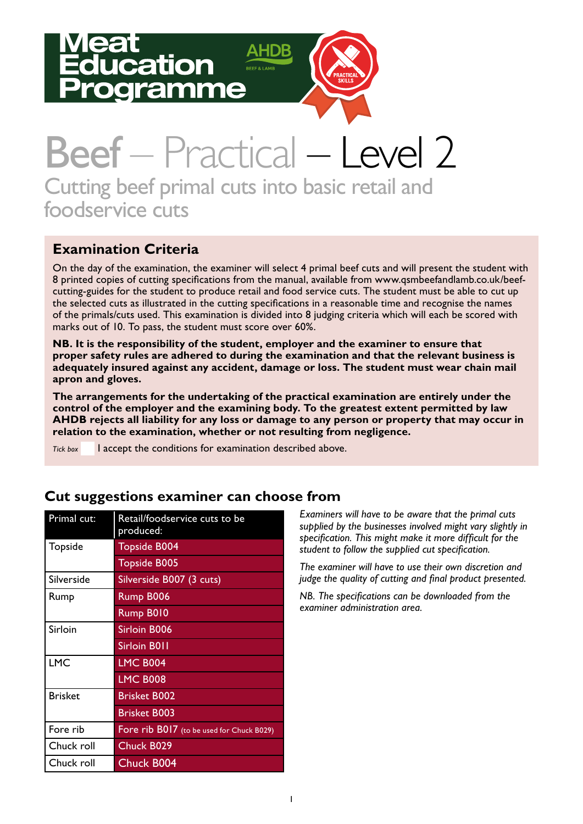# ation amme



## Beef – Practical – Level 2 Cutting beef primal cuts into basic retail and foodservice cuts

#### **Examination Criteria**

On the day of the examination, the examiner will select 4 primal beef cuts and will present the student with 8 printed copies of cutting specifications from the manual, available from www.qsmbeefandlamb.co.uk/beefcutting-guides for the student to produce retail and food service cuts. The student must be able to cut up the selected cuts as illustrated in the cutting specifications in a reasonable time and recognise the names of the primals/cuts used. This examination is divided into 8 judging criteria which will each be scored with marks out of 10. To pass, the student must score over 60%.

**NB. It is the responsibility of the student, employer and the examiner to ensure that proper safety rules are adhered to during the examination and that the relevant business is adequately insured against any accident, damage or loss. The student must wear chain mail apron and gloves.** 

**The arrangements for the undertaking of the practical examination are entirely under the control of the employer and the examining body. To the greatest extent permitted by law AHDB rejects all liability for any loss or damage to any person or property that may occur in relation to the examination, whether or not resulting from negligence.**

*Tick box* I accept the conditions for examination described above.

| Primal cut:    | Retail/foodservice cuts to be<br>produced: |
|----------------|--------------------------------------------|
| Topside        | <b>Topside B004</b>                        |
|                | <b>Topside B005</b>                        |
| Silverside     | Silverside B007 (3 cuts)                   |
| Rump           | Rump B006                                  |
|                | Rump B010                                  |
| Sirloin        | Sirloin B006                               |
|                | Sirloin B011                               |
| <b>LMC</b>     | <b>LMC B004</b>                            |
|                | <b>LMC B008</b>                            |
| <b>Brisket</b> | Brisket B002                               |
|                | <b>Brisket B003</b>                        |
| Fore rib       | Fore rib B017 (to be used for Chuck B029)  |
| Chuck roll     | Chuck B029                                 |
| Chuck roll     | <b>Chuck B004</b>                          |

#### **Cut suggestions examiner can choose from**

*Examiners will have to be aware that the primal cuts supplied by the businesses involved might vary slightly in specification. This might make it more difficult for the student to follow the supplied cut specification.* 

*The examiner will have to use their own discretion and judge the quality of cutting and final product presented.*

*NB. The specifications can be downloaded from the examiner administration area.*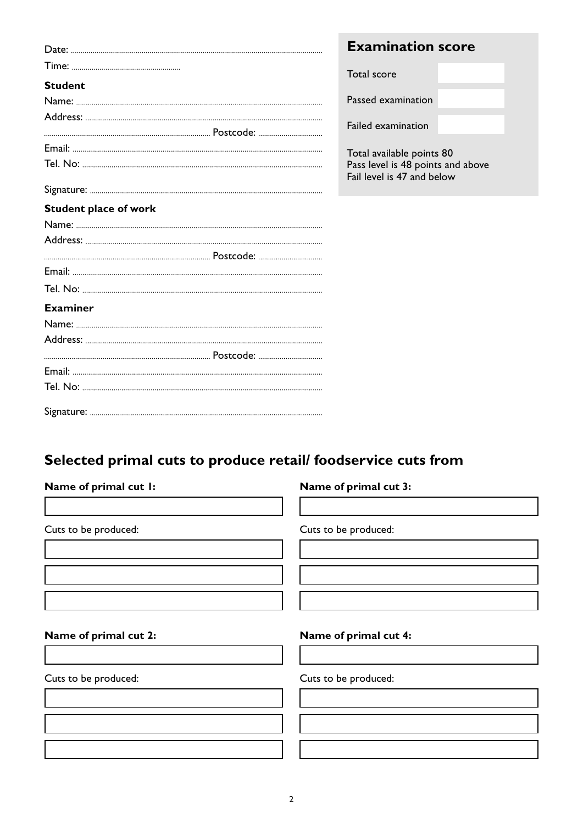|                              | <b>Examination score</b>                                        |  |
|------------------------------|-----------------------------------------------------------------|--|
|                              | Total score                                                     |  |
| <b>Student</b>               |                                                                 |  |
|                              | Passed examination                                              |  |
|                              | Failed examination                                              |  |
|                              |                                                                 |  |
|                              | Total available points 80                                       |  |
|                              | Pass level is 48 points and above<br>Fail level is 47 and below |  |
|                              |                                                                 |  |
| <b>Student place of work</b> |                                                                 |  |
|                              |                                                                 |  |
|                              |                                                                 |  |
|                              |                                                                 |  |
|                              |                                                                 |  |
|                              |                                                                 |  |
| <b>Examiner</b>              |                                                                 |  |
|                              |                                                                 |  |
|                              |                                                                 |  |
|                              |                                                                 |  |
|                              |                                                                 |  |
|                              |                                                                 |  |
|                              |                                                                 |  |

### **Selected primal cuts to produce retail/ foodservice cuts from**

| Name of primal cut 3: |  |  |  |  |  |
|-----------------------|--|--|--|--|--|
| Cuts to be produced:  |  |  |  |  |  |
|                       |  |  |  |  |  |
| Name of primal cut 4: |  |  |  |  |  |
| Cuts to be produced:  |  |  |  |  |  |
|                       |  |  |  |  |  |
|                       |  |  |  |  |  |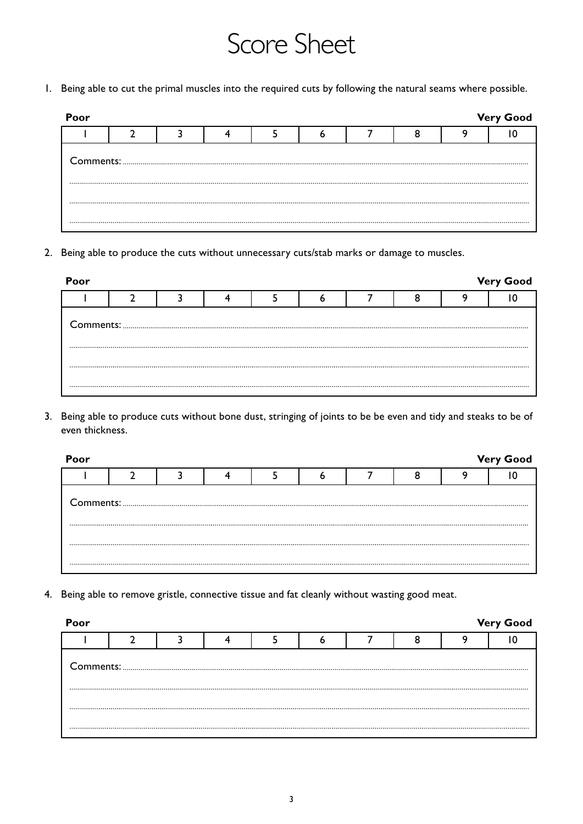### Score Sheet

1. Being able to cut the primal muscles into the required cuts by following the natural seams where possible.

| Poor |  |  |  |  | <b>Very Good</b> |
|------|--|--|--|--|------------------|
|      |  |  |  |  |                  |
|      |  |  |  |  |                  |
|      |  |  |  |  |                  |
|      |  |  |  |  |                  |

2. Being able to produce the cuts without unnecessary cuts/stab marks or damage to muscles.

| Poor |                                                                                                                                                                                                                                                                                                                                                                                                                                                                                                   |  |  |  | <b>Very Good</b> |
|------|---------------------------------------------------------------------------------------------------------------------------------------------------------------------------------------------------------------------------------------------------------------------------------------------------------------------------------------------------------------------------------------------------------------------------------------------------------------------------------------------------|--|--|--|------------------|
|      |                                                                                                                                                                                                                                                                                                                                                                                                                                                                                                   |  |  |  |                  |
|      | ${\small \begin{minipage}{14cm} \begin{tabular}{ c c c c c } \hline \textbf{Comments:} & \textbf{\textit{3}} & \textbf{\textit{5}} & \textbf{\textit{6}} & \textbf{\textit{7}} & \textbf{\textit{8}} & \textbf{\textit{8}} & \textbf{\textit{9}} & \textbf{\textit{1}} & \textbf{\textit{1}} & \textbf{\textit{1}} & \textbf{\textit{1}} & \textbf{\textit{1}} & \textbf{\textit{1}} & \textbf{\textit{1}} & \textbf{\textit{1}} & \textbf{\textit{1}} & \textbf{\textit{1}} & \textbf{\textit{1$ |  |  |  |                  |
|      |                                                                                                                                                                                                                                                                                                                                                                                                                                                                                                   |  |  |  |                  |

3. Being able to produce cuts without bone dust, stringing of joints to be be even and tidy and steaks to be of even thickness.

| <b>Very Good</b><br>Poor |  |  |  |  |  |  |  |  |  |  |  |
|--------------------------|--|--|--|--|--|--|--|--|--|--|--|
|                          |  |  |  |  |  |  |  |  |  |  |  |
|                          |  |  |  |  |  |  |  |  |  |  |  |
|                          |  |  |  |  |  |  |  |  |  |  |  |
|                          |  |  |  |  |  |  |  |  |  |  |  |
|                          |  |  |  |  |  |  |  |  |  |  |  |

4. Being able to remove gristle, connective tissue and fat cleanly without wasting good meat.

| Poor |                                                                                                                                                                                                                                                                                                                                                                                                                                                                                                     |  |  |  | <b>Very Good</b> |
|------|-----------------------------------------------------------------------------------------------------------------------------------------------------------------------------------------------------------------------------------------------------------------------------------------------------------------------------------------------------------------------------------------------------------------------------------------------------------------------------------------------------|--|--|--|------------------|
|      |                                                                                                                                                                                                                                                                                                                                                                                                                                                                                                     |  |  |  |                  |
|      | ${\small \begin{minipage}{14cm} \begin{tabular}{ c c c c } \hline \textbf{Comments:} & \textbf{\textit{3}} & \textbf{\textit{5}} & \textbf{\textit{6}} & \textbf{\textit{7}} & \textbf{\textit{8}} & \textbf{\textit{8}} & \textbf{\textit{8}} & \textbf{\textit{9}} & \textbf{\textit{1}} & \textbf{\textit{1}} & \textbf{\textit{1}} & \textbf{\textit{1}} & \textbf{\textit{1}} & \textbf{\textit{1}} & \textbf{\textit{1}} & \textbf{\textit{1}} & \textbf{\textit{1}} & \textbf{\textit{1}} &$ |  |  |  |                  |
|      |                                                                                                                                                                                                                                                                                                                                                                                                                                                                                                     |  |  |  |                  |
|      |                                                                                                                                                                                                                                                                                                                                                                                                                                                                                                     |  |  |  |                  |
|      |                                                                                                                                                                                                                                                                                                                                                                                                                                                                                                     |  |  |  |                  |